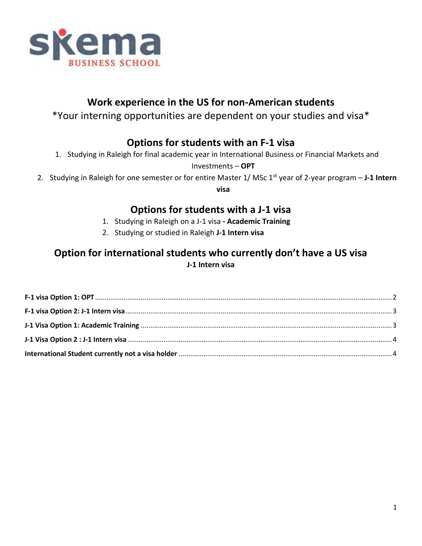

# **Work experience in the US for non-American students**

\*Your interning opportunities are dependent on your studies and visa\*

# **Options for students with an F-1 visa**

1. Studying in Raleigh for final academic year in International Business or Financial Markets and

Investments – **OPT**

2. Studying in Raleigh for one semester or for entire Master 1/ MSc 1<sup>st</sup> year of 2-year program - J-1 Intern

**visa**

# **Options for students with a J-1 visa**

- 1. Studying in Raleigh on a J-1 visa **- Academic Training**
- 2. Studying or studied in Raleigh **J-1 Intern visa**

# **Option for international students who currently don't have a US visa J-1 Intern visa**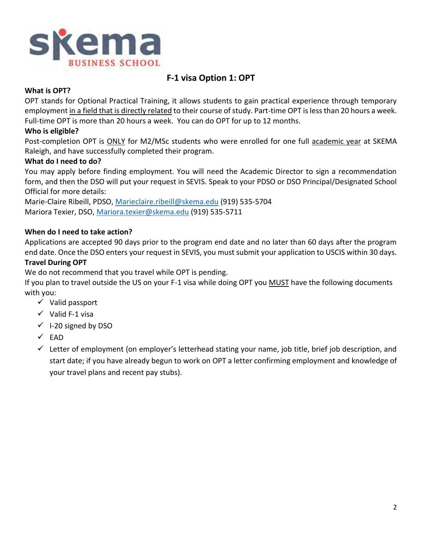

# **F-1 visa Option 1: OPT**

## <span id="page-1-0"></span>**What is OPT?**

OPT stands for Optional Practical Training, it allows students to gain practical experience through temporary employment in a field that is directly related to their course of study. Part-time OPT is less than 20 hours a week. Full-time OPT is more than 20 hours a week. You can do OPT for up to 12 months.

### **Who is eligible?**

Post-completion OPT is ONLY for M2/MSc students who were enrolled for one full academic year at SKEMA Raleigh, and have successfully completed their program.

### **What do I need to do?**

You may apply before finding employment. You will need the Academic Director to sign a recommendation form, and then the DSO will put your request in SEVIS. Speak to your PDSO or DSO Principal/Designated School Official for more details:

Marie-Claire Ribeill, PDSO, [Marieclaire.ribeill@skema.edu](mailto:Marieclaire.ribeill@skema.edu) (919) 535-5704 Mariora Texier, DSO, [Mariora.texier@skema.edu](mailto:Mariora.texier@skema.edu) (919) 535-5711

### **When do I need to take action?**

Applications are accepted 90 days prior to the program end date and no later than 60 days after the program end date. Once the DSO enters your request in SEVIS, you must submit your application to USCIS within 30 days.

### **Travel During OPT**

We do not recommend that you travel while OPT is pending.

If you plan to travel outside the US on your F-1 visa while doing OPT you **MUST** have the following documents with you:

- $\checkmark$  Valid passport
- $\checkmark$  Valid F-1 visa
- $\checkmark$  I-20 signed by DSO
- $\times$  EAD
- $\checkmark$  Letter of employment (on employer's letterhead stating your name, job title, brief job description, and start date; if you have already begun to work on OPT a letter confirming employment and knowledge of your travel plans and recent pay stubs).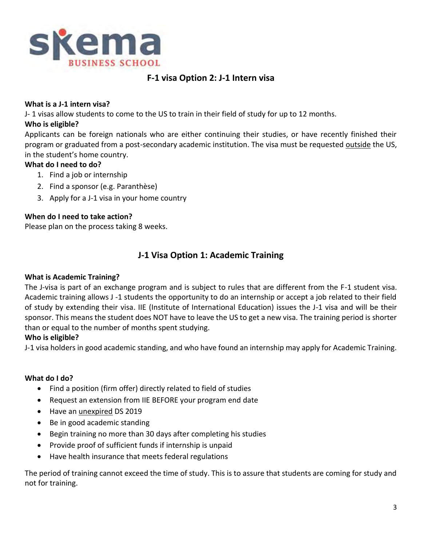

# **F-1 visa Option 2: J-1 Intern visa**

### <span id="page-2-0"></span>**What is a J-1 intern visa?**

J- 1 visas allow students to come to the US to train in their field of study for up to 12 months.

## **Who is eligible?**

Applicants can be foreign nationals who are either continuing their studies, or have recently finished their program or graduated from a post-secondary academic institution. The visa must be requested outside the US, in the student's home country.

### **What do I need to do?**

- 1. Find a job or internship
- 2. Find a sponsor (e.g. Paranthèse)
- 3. Apply for a J-1 visa in your home country

# **When do I need to take action?**

<span id="page-2-1"></span>Please plan on the process taking 8 weeks.

# **J-1 Visa Option 1: Academic Training**

### **What is Academic Training?**

The J-visa is part of an exchange program and is subject to rules that are different from the F-1 student visa. Academic training allows J -1 students the opportunity to do an internship or accept a job related to their field of study by extending their visa. IIE (Institute of International Education) issues the J-1 visa and will be their sponsor. This means the student does NOT have to leave the US to get a new visa. The training period is shorter than or equal to the number of months spent studying.

# **Who is eligible?**

J-1 visa holders in good academic standing, and who have found an internship may apply for Academic Training.

### **What do I do?**

- Find a position (firm offer) directly related to field of studies
- Request an extension from IIE BEFORE your program end date
- Have an unexpired DS 2019
- Be in good academic standing
- Begin training no more than 30 days after completing his studies
- Provide proof of sufficient funds if internship is unpaid
- Have health insurance that meets federal regulations

The period of training cannot exceed the time of study. This is to assure that students are coming for study and not for training.